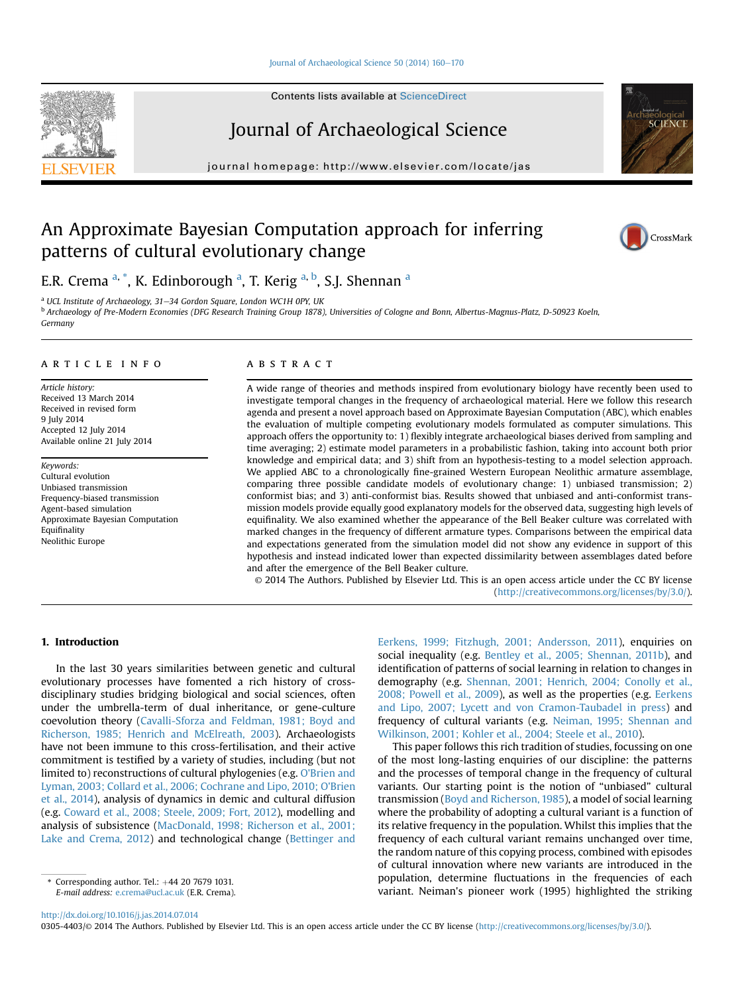### [Journal of Archaeological Science 50 \(2014\) 160](http://dx.doi.org/10.1016/j.jas.2014.07.014)-[170](http://dx.doi.org/10.1016/j.jas.2014.07.014)

Contents lists available at ScienceDirect

# Journal of Archaeological Science

journal homepage:<http://www.elsevier.com/locate/jas>

# An Approximate Bayesian Computation approach for inferring patterns of cultural evolutionary change



<sup>a</sup> UCL Institute of Archaeology, 31-34 Gordon Square, London WC1H 0PY, UK <sup>b</sup> Archaeology of Pre-Modern Economies (DFG Research Training Group 1878), Universities of Cologne and Bonn, Albertus-Magnus-Platz, D-50923 Koeln, Germany

### article info

Article history: Received 13 March 2014 Received in revised form 9 July 2014 Accepted 12 July 2014 Available online 21 July 2014

Keywords: Cultural evolution Unbiased transmission Frequency-biased transmission Agent-based simulation Approximate Bayesian Computation Equifinality Neolithic Europe

# **ABSTRACT**

A wide range of theories and methods inspired from evolutionary biology have recently been used to investigate temporal changes in the frequency of archaeological material. Here we follow this research agenda and present a novel approach based on Approximate Bayesian Computation (ABC), which enables the evaluation of multiple competing evolutionary models formulated as computer simulations. This approach offers the opportunity to: 1) flexibly integrate archaeological biases derived from sampling and time averaging; 2) estimate model parameters in a probabilistic fashion, taking into account both prior knowledge and empirical data; and 3) shift from an hypothesis-testing to a model selection approach. We applied ABC to a chronologically fine-grained Western European Neolithic armature assemblage, comparing three possible candidate models of evolutionary change: 1) unbiased transmission; 2) conformist bias; and 3) anti-conformist bias. Results showed that unbiased and anti-conformist transmission models provide equally good explanatory models for the observed data, suggesting high levels of equifinality. We also examined whether the appearance of the Bell Beaker culture was correlated with marked changes in the frequency of different armature types. Comparisons between the empirical data and expectations generated from the simulation model did not show any evidence in support of this hypothesis and instead indicated lower than expected dissimilarity between assemblages dated before and after the emergence of the Bell Beaker culture.

© 2014 The Authors. Published by Elsevier Ltd. This is an open access article under the CC BY license [\(http://creativecommons.org/licenses/by/3.0/](http://creativecommons.org/licenses/by/3.0/)).

# 1. Introduction

In the last 30 years similarities between genetic and cultural evolutionary processes have fomented a rich history of crossdisciplinary studies bridging biological and social sciences, often under the umbrella-term of dual inheritance, or gene-culture coevolution theory [\(Cavalli-Sforza and Feldman, 1981; Boyd and](#page-9-0) [Richerson, 1985; Henrich and McElreath, 2003](#page-9-0)). Archaeologists have not been immune to this cross-fertilisation, and their active commitment is testified by a variety of studies, including (but not limited to) reconstructions of cultural phylogenies (e.g. [O'Brien and](#page-10-0) [Lyman, 2003; Collard et al., 2006; Cochrane and Lipo, 2010; O'Brien](#page-10-0) [et al., 2014\)](#page-10-0), analysis of dynamics in demic and cultural diffusion (e.g. [Coward et al., 2008; Steele, 2009; Fort, 2012](#page-10-0)), modelling and analysis of subsistence ([MacDonald, 1998; Richerson et al., 2001;](#page-10-0) [Lake and Crema, 2012\)](#page-10-0) and technological change [\(Bettinger and](#page-9-0) [Eerkens, 1999; Fitzhugh, 2001; Andersson, 2011\)](#page-9-0), enquiries on social inequality (e.g. [Bentley et al., 2005; Shennan, 2011b](#page-9-0)), and identification of patterns of social learning in relation to changes in demography (e.g. [Shennan, 2001; Henrich, 2004; Conolly et al.,](#page-10-0) [2008; Powell et al., 2009](#page-10-0)), as well as the properties (e.g. [Eerkens](#page-10-0) [and Lipo, 2007; Lycett and von Cramon-Taubadel in press\)](#page-10-0) and frequency of cultural variants (e.g. [Neiman, 1995; Shennan and](#page-10-0) [Wilkinson, 2001; Kohler et al., 2004; Steele et al., 2010\)](#page-10-0).

This paper follows this rich tradition of studies, focussing on one of the most long-lasting enquiries of our discipline: the patterns and the processes of temporal change in the frequency of cultural variants. Our starting point is the notion of "unbiased" cultural transmission [\(Boyd and Richerson, 1985\)](#page-9-0), a model of social learning where the probability of adopting a cultural variant is a function of its relative frequency in the population. Whilst this implies that the frequency of each cultural variant remains unchanged over time, the random nature of this copying process, combined with episodes of cultural innovation where new variants are introduced in the population, determine fluctuations in the frequencies of each variant. Neiman's pioneer work (1995) highlighted the striking

0305-4403/© 2014 The Authors. Published by Elsevier Ltd. This is an open access article under the CC BY license (<http://creativecommons.org/licenses/by/3.0/>).

<span id="page-0-0"></span>





 $*$  Corresponding author. Tel.:  $+44$  20 7679 1031. E-mail address: [e.crema@ucl.ac.uk](mailto:e.crema@ucl.ac.uk) (E.R. Crema).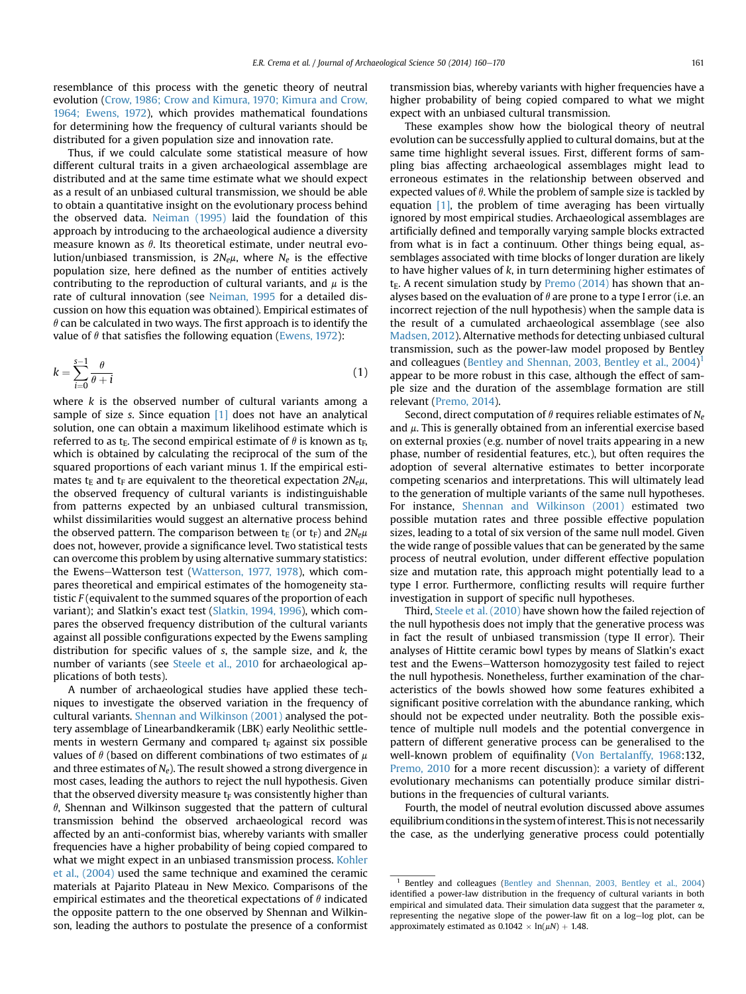resemblance of this process with the genetic theory of neutral evolution ([Crow, 1986; Crow and Kimura, 1970; Kimura and Crow,](#page-10-0) [1964; Ewens, 1972](#page-10-0)), which provides mathematical foundations for determining how the frequency of cultural variants should be distributed for a given population size and innovation rate.

Thus, if we could calculate some statistical measure of how different cultural traits in a given archaeological assemblage are distributed and at the same time estimate what we should expect as a result of an unbiased cultural transmission, we should be able to obtain a quantitative insight on the evolutionary process behind the observed data. [Neiman \(1995\)](#page-10-0) laid the foundation of this approach by introducing to the archaeological audience a diversity measure known as  $\theta$ . Its theoretical estimate, under neutral evolution/unbiased transmission, is  $2N_e\mu$ , where  $N_e$  is the effective population size, here defined as the number of entities actively contributing to the reproduction of cultural variants, and  $\mu$  is the rate of cultural innovation (see [Neiman, 1995](#page-10-0) for a detailed discussion on how this equation was obtained). Empirical estimates of  $\theta$  can be calculated in two ways. The first approach is to identify the value of  $\theta$  that satisfies the following equation [\(Ewens, 1972\)](#page-10-0):

$$
k = \sum_{i=0}^{s-1} \frac{\theta}{\theta + i} \tag{1}
$$

where  $k$  is the observed number of cultural variants among a sample of size s. Since equation  $[1]$  does not have an analytical solution, one can obtain a maximum likelihood estimate which is referred to as  $t_F$ . The second empirical estimate of  $\theta$  is known as  $t_F$ , which is obtained by calculating the reciprocal of the sum of the squared proportions of each variant minus 1. If the empirical estimates t<sub>E</sub> and t<sub>F</sub> are equivalent to the theoretical expectation  $2N_e\mu$ , the observed frequency of cultural variants is indistinguishable from patterns expected by an unbiased cultural transmission, whilst dissimilarities would suggest an alternative process behind the observed pattern. The comparison between  $t_E$  (or  $t_F$ ) and  $2N_e\mu$ does not, however, provide a significance level. Two statistical tests can overcome this problem by using alternative summary statistics: the Ewens-Watterson test [\(Watterson, 1977, 1978](#page-10-0)), which compares theoretical and empirical estimates of the homogeneity statistic  $F$  (equivalent to the summed squares of the proportion of each variant); and Slatkin's exact test [\(Slatkin, 1994, 1996\)](#page-10-0), which compares the observed frequency distribution of the cultural variants against all possible configurations expected by the Ewens sampling distribution for specific values of  $s$ , the sample size, and  $k$ , the number of variants (see [Steele et al., 2010](#page-10-0) for archaeological applications of both tests).

A number of archaeological studies have applied these techniques to investigate the observed variation in the frequency of cultural variants. [Shennan and Wilkinson \(2001\)](#page-10-0) analysed the pottery assemblage of Linearbandkeramik (LBK) early Neolithic settlements in western Germany and compared  $t_F$  against six possible values of  $\theta$  (based on different combinations of two estimates of  $\mu$ and three estimates of  $N_e$ ). The result showed a strong divergence in most cases, leading the authors to reject the null hypothesis. Given that the observed diversity measure  $t_F$  was consistently higher than  $\theta$ , Shennan and Wilkinson suggested that the pattern of cultural transmission behind the observed archaeological record was affected by an anti-conformist bias, whereby variants with smaller frequencies have a higher probability of being copied compared to what we might expect in an unbiased transmission process. [Kohler](#page-10-0) [et al., \(2004\)](#page-10-0) used the same technique and examined the ceramic materials at Pajarito Plateau in New Mexico. Comparisons of the empirical estimates and the theoretical expectations of  $\theta$  indicated the opposite pattern to the one observed by Shennan and Wilkinson, leading the authors to postulate the presence of a conformist

transmission bias, whereby variants with higher frequencies have a higher probability of being copied compared to what we might expect with an unbiased cultural transmission.

These examples show how the biological theory of neutral evolution can be successfully applied to cultural domains, but at the same time highlight several issues. First, different forms of sampling bias affecting archaeological assemblages might lead to erroneous estimates in the relationship between observed and expected values of  $\theta$ . While the problem of sample size is tackled by equation [1], the problem of time averaging has been virtually ignored by most empirical studies. Archaeological assemblages are artificially defined and temporally varying sample blocks extracted from what is in fact a continuum. Other things being equal, assemblages associated with time blocks of longer duration are likely to have higher values of k, in turn determining higher estimates of  $t_{\rm E}$ . A recent simulation study by [Premo \(2014\)](#page-10-0) has shown that analyses based on the evaluation of  $\theta$  are prone to a type I error (i.e. an incorrect rejection of the null hypothesis) when the sample data is the result of a cumulated archaeological assemblage (see also [Madsen, 2012](#page-10-0)). Alternative methods for detecting unbiased cultural transmission, such as the power-law model proposed by Bentley and colleagues (Bentley and Shennan, 2003, Bentley et al.,  $2004$ )<sup>1</sup> appear to be more robust in this case, although the effect of sample size and the duration of the assemblage formation are still relevant ([Premo, 2014\)](#page-10-0).

Second, direct computation of  $\theta$  requires reliable estimates of  $N_e$ and  $\mu$ . This is generally obtained from an inferential exercise based on external proxies (e.g. number of novel traits appearing in a new phase, number of residential features, etc.), but often requires the adoption of several alternative estimates to better incorporate competing scenarios and interpretations. This will ultimately lead to the generation of multiple variants of the same null hypotheses. For instance, [Shennan and Wilkinson \(2001\)](#page-10-0) estimated two possible mutation rates and three possible effective population sizes, leading to a total of six version of the same null model. Given the wide range of possible values that can be generated by the same process of neutral evolution, under different effective population size and mutation rate, this approach might potentially lead to a type I error. Furthermore, conflicting results will require further investigation in support of specific null hypotheses.

Third, [Steele et al. \(2010\)](#page-10-0) have shown how the failed rejection of the null hypothesis does not imply that the generative process was in fact the result of unbiased transmission (type II error). Their analyses of Hittite ceramic bowl types by means of Slatkin's exact test and the Ewens-Watterson homozygosity test failed to reject the null hypothesis. Nonetheless, further examination of the characteristics of the bowls showed how some features exhibited a significant positive correlation with the abundance ranking, which should not be expected under neutrality. Both the possible existence of multiple null models and the potential convergence in pattern of different generative process can be generalised to the well-known problem of equifinality ([Von Bertalanffy, 1968](#page-10-0):132, [Premo, 2010](#page-10-0) for a more recent discussion): a variety of different evolutionary mechanisms can potentially produce similar distributions in the frequencies of cultural variants.

Fourth, the model of neutral evolution discussed above assumes equilibrium conditions in the system of interest. This is not necessarily the case, as the underlying generative process could potentially

<sup>&</sup>lt;sup>1</sup> Bentley and colleagues ([Bentley and Shennan, 2003, Bentley et al., 2004](#page-9-0)) identified a power-law distribution in the frequency of cultural variants in both empirical and simulated data. Their simulation data suggest that the parameter  $\alpha$ , representing the negative slope of the power-law fit on a log-log plot, can be approximately estimated as  $0.1042 \times \ln(\mu) + 1.48$ .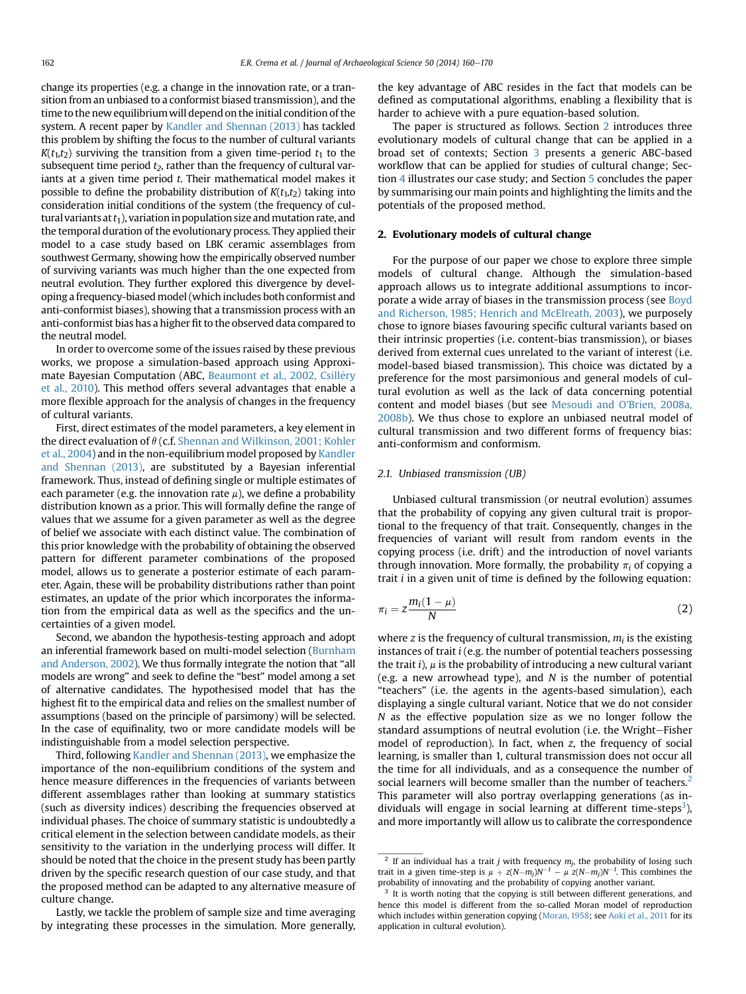<span id="page-2-0"></span>change its properties (e.g. a change in the innovation rate, or a transition from an unbiased to a conformist biased transmission), and the time to the new equilibriumwill depend on the initial condition of the system. A recent paper by [Kandler and Shennan \(2013\)](#page-10-0) has tackled this problem by shifting the focus to the number of cultural variants  $K(t_1,t_2)$  surviving the transition from a given time-period  $t_1$  to the subsequent time period  $t_2$ , rather than the frequency of cultural variants at a given time period t. Their mathematical model makes it possible to define the probability distribution of  $K(t_1,t_2)$  taking into consideration initial conditions of the system (the frequency of cultural variants at  $t_1$ ), variation in population size and mutation rate, and the temporal duration of the evolutionary process. They applied their model to a case study based on LBK ceramic assemblages from southwest Germany, showing how the empirically observed number of surviving variants was much higher than the one expected from neutral evolution. They further explored this divergence by developing a frequency-biased model (which includes both conformist and anti-conformist biases), showing that a transmission process with an anti-conformist bias has a higher fit to the observed data compared to the neutral model.

In order to overcome some of the issues raised by these previous works, we propose a simulation-based approach using Approximate Bayesian Computation (ABC, Beaumont et al., 2002, Csilléry [et al., 2010\)](#page-10-0). This method offers several advantages that enable a more flexible approach for the analysis of changes in the frequency of cultural variants.

First, direct estimates of the model parameters, a key element in the direct evaluation of  $\theta$  (c.f. [Shennan and Wilkinson, 2001; Kohler](#page-10-0) [et al., 2004](#page-10-0)) and in the non-equilibrium model proposed by [Kandler](#page-10-0) [and Shennan \(2013\),](#page-10-0) are substituted by a Bayesian inferential framework. Thus, instead of defining single or multiple estimates of each parameter (e.g. the innovation rate  $\mu$ ), we define a probability distribution known as a prior. This will formally define the range of values that we assume for a given parameter as well as the degree of belief we associate with each distinct value. The combination of this prior knowledge with the probability of obtaining the observed pattern for different parameter combinations of the proposed model, allows us to generate a posterior estimate of each parameter. Again, these will be probability distributions rather than point estimates, an update of the prior which incorporates the information from the empirical data as well as the specifics and the uncertainties of a given model.

Second, we abandon the hypothesis-testing approach and adopt an inferential framework based on multi-model selection [\(Burnham](#page-9-0) [and Anderson, 2002\)](#page-9-0). We thus formally integrate the notion that "all models are wrong" and seek to define the "best" model among a set of alternative candidates. The hypothesised model that has the highest fit to the empirical data and relies on the smallest number of assumptions (based on the principle of parsimony) will be selected. In the case of equifinality, two or more candidate models will be indistinguishable from a model selection perspective.

Third, following [Kandler and Shennan \(2013\)](#page-10-0), we emphasize the importance of the non-equilibrium conditions of the system and hence measure differences in the frequencies of variants between different assemblages rather than looking at summary statistics (such as diversity indices) describing the frequencies observed at individual phases. The choice of summary statistic is undoubtedly a critical element in the selection between candidate models, as their sensitivity to the variation in the underlying process will differ. It should be noted that the choice in the present study has been partly driven by the specific research question of our case study, and that the proposed method can be adapted to any alternative measure of culture change.

Lastly, we tackle the problem of sample size and time averaging by integrating these processes in the simulation. More generally, the key advantage of ABC resides in the fact that models can be defined as computational algorithms, enabling a flexibility that is harder to achieve with a pure equation-based solution.

The paper is structured as follows. Section 2 introduces three evolutionary models of cultural change that can be applied in a broad set of contexts; Section [3](#page-3-0) presents a generic ABC-based workflow that can be applied for studies of cultural change; Section [4](#page-4-0) illustrates our case study; and Section [5](#page-8-0) concludes the paper by summarising our main points and highlighting the limits and the potentials of the proposed method.

# 2. Evolutionary models of cultural change

For the purpose of our paper we chose to explore three simple models of cultural change. Although the simulation-based approach allows us to integrate additional assumptions to incorporate a wide array of biases in the transmission process (see [Boyd](#page-9-0) [and Richerson, 1985; Henrich and McElreath, 2003](#page-9-0)), we purposely chose to ignore biases favouring specific cultural variants based on their intrinsic properties (i.e. content-bias transmission), or biases derived from external cues unrelated to the variant of interest (i.e. model-based biased transmission). This choice was dictated by a preference for the most parsimonious and general models of cultural evolution as well as the lack of data concerning potential content and model biases (but see [Mesoudi and O](#page-10-0)'Brien, 2008a, [2008b\)](#page-10-0). We thus chose to explore an unbiased neutral model of cultural transmission and two different forms of frequency bias: anti-conformism and conformism.

# 2.1. Unbiased transmission (UB)

Unbiased cultural transmission (or neutral evolution) assumes that the probability of copying any given cultural trait is proportional to the frequency of that trait. Consequently, changes in the frequencies of variant will result from random events in the copying process (i.e. drift) and the introduction of novel variants through innovation. More formally, the probability  $\pi_i$  of copying a trait  $i$  in a given unit of time is defined by the following equation:

$$
\pi_i = z \frac{m_i (1 - \mu)}{N} \tag{2}
$$

where z is the frequency of cultural transmission,  $m_i$  is the existing instances of trait i (e.g. the number of potential teachers possessing the trait i),  $\mu$  is the probability of introducing a new cultural variant (e.g. a new arrowhead type), and  $N$  is the number of potential "teachers" (i.e. the agents in the agents-based simulation), each displaying a single cultural variant. Notice that we do not consider N as the effective population size as we no longer follow the standard assumptions of neutral evolution (i.e. the Wright-Fisher model of reproduction). In fact, when z, the frequency of social learning, is smaller than 1, cultural transmission does not occur all the time for all individuals, and as a consequence the number of social learners will become smaller than the number of teachers.<sup>2</sup> This parameter will also portray overlapping generations (as individuals will engage in social learning at different time-steps<sup>3</sup>), and more importantly will allow us to calibrate the correspondence

<sup>&</sup>lt;sup>2</sup> If an individual has a trait *j* with frequency  $m_j$ , the probability of losing such trait in a given time-step is  $\mu + z(N-m_j)N^{-1} - \mu z(N-m_j)N^{-1}$ . This combines the probability of innovating and the probability of copying another variant.

It is worth noting that the copying is still between different generations, and hence this model is different from the so-called Moran model of reproduction which includes within generation copying [\(Moran, 1958;](#page-10-0) see [Aoki et al., 2011](#page-9-0) for its application in cultural evolution).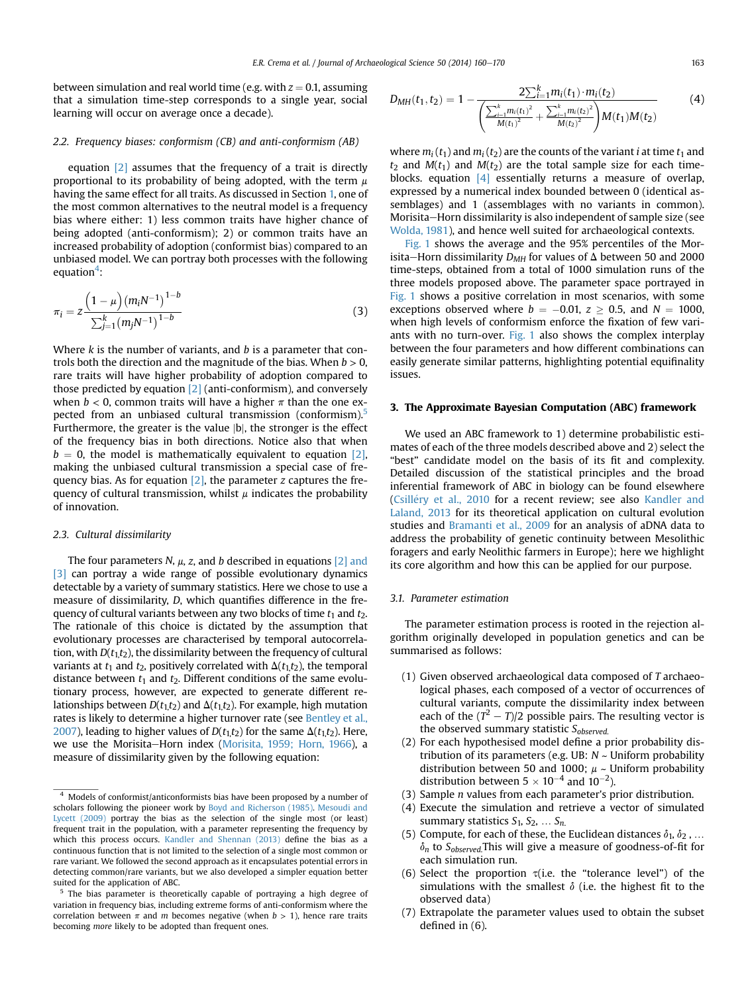<span id="page-3-0"></span>between simulation and real world time (e.g. with  $z = 0.1$ , assuming that a simulation time-step corresponds to a single year, social learning will occur on average once a decade).

# 2.2. Frequency biases: conformism (CB) and anti-conformism (AB)

equation [\[2\]](#page-2-0) assumes that the frequency of a trait is directly proportional to its probability of being adopted, with the term  $\mu$ having the same effect for all traits. As discussed in Section [1,](#page-0-0) one of the most common alternatives to the neutral model is a frequency bias where either: 1) less common traits have higher chance of being adopted (anti-conformism); 2) or common traits have an increased probability of adoption (conformist bias) compared to an unbiased model. We can portray both processes with the following equation<sup>4</sup>:

$$
\pi_{i} = z \frac{\left(1 - \mu\right) \left(m_{i} N^{-1}\right)^{1 - b}}{\sum_{j=1}^{k} \left(m_{j} N^{-1}\right)^{1 - b}}
$$
\n(3)

Where  $k$  is the number of variants, and  $b$  is a parameter that controls both the direction and the magnitude of the bias. When  $b > 0$ , rare traits will have higher probability of adoption compared to those predicted by equation  $[2]$  (anti-conformism), and conversely when  $b < 0$ , common traits will have a higher  $\pi$  than the one expected from an unbiased cultural transmission (conformism).<sup>5</sup> Furthermore, the greater is the value |b|, the stronger is the effect of the frequency bias in both directions. Notice also that when  $b = 0$ , the model is mathematically equivalent to equation [\[2\],](#page-2-0) making the unbiased cultural transmission a special case of frequency bias. As for equation  $[2]$ , the parameter *z* captures the frequency of cultural transmission, whilst  $\mu$  indicates the probability of innovation.

# 2.3. Cultural dissimilarity

The four parameters  $N$ ,  $\mu$ ,  $z$ , and  $b$  described in equations [\[2\] and](#page-2-0) [\[3\]](#page-2-0) can portray a wide range of possible evolutionary dynamics detectable by a variety of summary statistics. Here we chose to use a measure of dissimilarity, D, which quantifies difference in the frequency of cultural variants between any two blocks of time  $t_1$  and  $t_2$ . The rationale of this choice is dictated by the assumption that evolutionary processes are characterised by temporal autocorrelation, with  $D(t_1t_2)$ , the dissimilarity between the frequency of cultural variants at  $t_1$  and  $t_2$ , positively correlated with  $\Delta(t_1t_2)$ , the temporal distance between  $t_1$  and  $t_2$ . Different conditions of the same evolutionary process, however, are expected to generate different relationships between  $D(t_1,t_2)$  and  $\Delta(t_1,t_2)$ . For example, high mutation rates is likely to determine a higher turnover rate (see [Bentley et al.,](#page-9-0) [2007](#page-9-0)), leading to higher values of  $D(t_1,t_2)$  for the same  $\Delta(t_1,t_2)$ . Here, we use the Morisita-Horn index ([Morisita, 1959; Horn, 1966\)](#page-10-0), a measure of dissimilarity given by the following equation:

$$
D_{MH}(t_1, t_2) = 1 - \frac{2 \sum_{i=1}^{k} m_i(t_1) \cdot m_i(t_2)}{\left(\frac{\sum_{i=1}^{k} m_i(t_1)^2}{M(t_1)^2} + \frac{\sum_{i=1}^{k} m_i(t_2)^2}{M(t_2)^2}\right) M(t_1) M(t_2)}
$$
(4)

where  $m_i(t_1)$  and  $m_i(t_2)$  are the counts of the variant *i* at time  $t_1$  and  $t_2$  and  $M(t_1)$  and  $M(t_2)$  are the total sample size for each timeblocks. equation [4] essentially returns a measure of overlap, expressed by a numerical index bounded between 0 (identical assemblages) and 1 (assemblages with no variants in common). Morisita-Horn dissimilarity is also independent of sample size (see [Wolda, 1981](#page-10-0)), and hence well suited for archaeological contexts.

[Fig. 1](#page-4-0) shows the average and the 95% percentiles of the Morisita–Horn dissimilarity  $D_{MH}$  for values of  $\Delta$  between 50 and 2000 time-steps, obtained from a total of 1000 simulation runs of the three models proposed above. The parameter space portrayed in [Fig. 1](#page-4-0) shows a positive correlation in most scenarios, with some exceptions observed where  $b = -0.01$ ,  $z \ge 0.5$ , and  $N = 1000$ , when high levels of conformism enforce the fixation of few variants with no turn-over. [Fig. 1](#page-4-0) also shows the complex interplay between the four parameters and how different combinations can easily generate similar patterns, highlighting potential equifinality issues.

# 3. The Approximate Bayesian Computation (ABC) framework

We used an ABC framework to 1) determine probabilistic estimates of each of the three models described above and 2) select the "best" candidate model on the basis of its fit and complexity. Detailed discussion of the statistical principles and the broad inferential framework of ABC in biology can be found elsewhere ([Csill](#page-10-0)é[ry et al., 2010](#page-10-0) for a recent review; see also [Kandler and](#page-10-0) [Laland, 2013](#page-10-0) for its theoretical application on cultural evolution studies and [Bramanti et al., 2009](#page-9-0) for an analysis of aDNA data to address the probability of genetic continuity between Mesolithic foragers and early Neolithic farmers in Europe); here we highlight its core algorithm and how this can be applied for our purpose.

# 3.1. Parameter estimation

The parameter estimation process is rooted in the rejection algorithm originally developed in population genetics and can be summarised as follows:

- (1) Given observed archaeological data composed of T archaeological phases, each composed of a vector of occurrences of cultural variants, compute the dissimilarity index between each of the  $(T^2 - T)/2$  possible pairs. The resulting vector is the observed summary statistic  $S_{observed.}$
- (2) For each hypothesised model define a prior probability distribution of its parameters (e.g. UB:  $N \sim$  Uniform probability distribution between 50 and 1000;  $\mu \sim$  Uniform probability distribution between  $5 \times 10^{-4}$  and  $10^{-2}$ ).
- (3) Sample n values from each parameter's prior distribution.
- (4) Execute the simulation and retrieve a vector of simulated summary statistics  $S_1, S_2, \ldots S_n$ .
- (5) Compute, for each of these, the Euclidean distances  $\delta_1, \delta_2, \ldots$  $\delta_n$  to S<sub>observed</sub>. This will give a measure of goodness-of-fit for each simulation run.
- (6) Select the proportion  $\tau$ (i.e. the "tolerance level") of the simulations with the smallest  $\delta$  (i.e. the highest fit to the observed data)
- (7) Extrapolate the parameter values used to obtain the subset defined in (6).

Models of conformist/anticonformists bias have been proposed by a number of scholars following the pioneer work by [Boyd and Richerson \(1985\).](#page-9-0) [Mesoudi and](#page-10-0) [Lycett \(2009\)](#page-10-0) portray the bias as the selection of the single most (or least) frequent trait in the population, with a parameter representing the frequency by which this process occurs. [Kandler and Shennan \(2013\)](#page-10-0) define the bias as a continuous function that is not limited to the selection of a single most common or rare variant. We followed the second approach as it encapsulates potential errors in detecting common/rare variants, but we also developed a simpler equation better suited for the application of ABC.

The bias parameter is theoretically capable of portraying a high degree of variation in frequency bias, including extreme forms of anti-conformism where the correlation between  $\pi$  and m becomes negative (when  $b > 1$ ), hence rare traits becoming more likely to be adopted than frequent ones.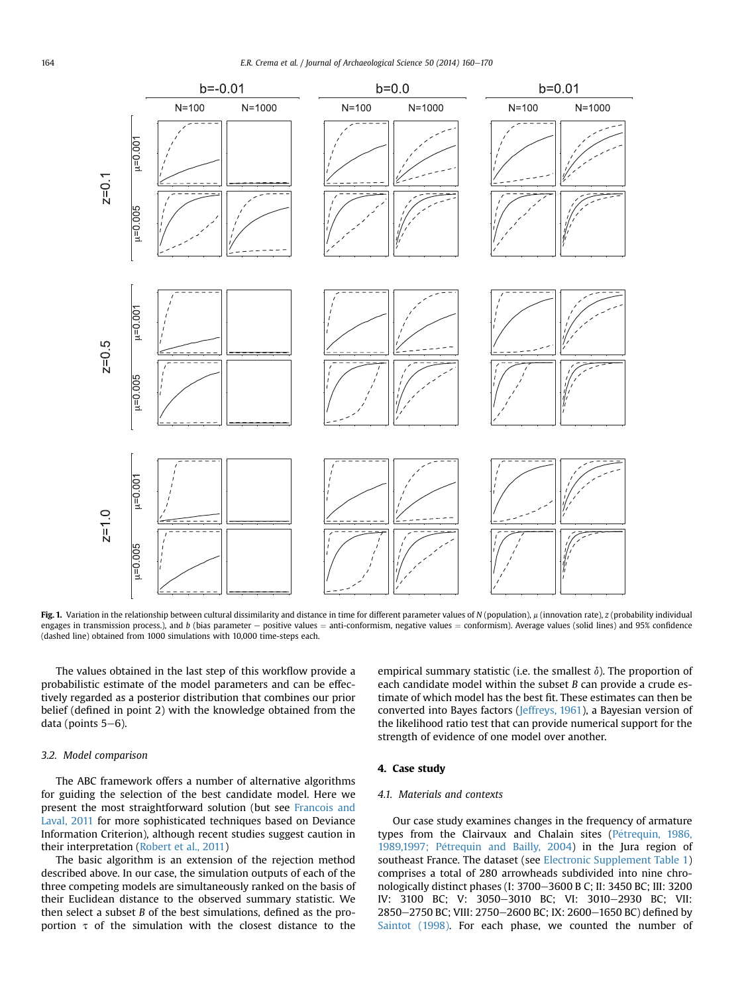<span id="page-4-0"></span>

Fig. 1. Variation in the relationship between cultural dissimilarity and distance in time for different parameter values of N (population),  $\mu$  (innovation rate),  $z$  (probability individual engages in transmission process.), and b (bias parameter  $-$  positive values  $=$  anti-conformism, negative values  $=$  conformism). Average values (solid lines) and 95% confidence (dashed line) obtained from 1000 simulations with 10,000 time-steps each.

The values obtained in the last step of this workflow provide a probabilistic estimate of the model parameters and can be effectively regarded as a posterior distribution that combines our prior belief (defined in point 2) with the knowledge obtained from the data (points  $5-6$ ).

# 3.2. Model comparison

The ABC framework offers a number of alternative algorithms for guiding the selection of the best candidate model. Here we present the most straightforward solution (but see [Francois and](#page-10-0) [Laval, 2011](#page-10-0) for more sophisticated techniques based on Deviance Information Criterion), although recent studies suggest caution in their interpretation ([Robert et al., 2011\)](#page-10-0)

The basic algorithm is an extension of the rejection method described above. In our case, the simulation outputs of each of the three competing models are simultaneously ranked on the basis of their Euclidean distance to the observed summary statistic. We then select a subset B of the best simulations, defined as the proportion  $\tau$  of the simulation with the closest distance to the

empirical summary statistic (i.e. the smallest  $\delta$ ). The proportion of each candidate model within the subset  $B$  can provide a crude estimate of which model has the best fit. These estimates can then be converted into Bayes factors [\(Jeffreys, 1961\)](#page-10-0), a Bayesian version of the likelihood ratio test that can provide numerical support for the strength of evidence of one model over another.

# 4. Case study

# 4.1. Materials and contexts

Our case study examines changes in the frequency of armature types from the Clairvaux and Chalain sites (Pétrequin, 1986, 1989,1997; Pétrequin and Bailly, 2004) in the Jura region of southeast France. The dataset (see Electronic Supplement Table 1) comprises a total of 280 arrowheads subdivided into nine chronologically distinct phases (I: 3700-3600 B C; II: 3450 BC; III: 3200 IV: 3100 BC; V: 3050-3010 BC; VI: 3010-2930 BC; VII: 2850-2750 BC; VIII: 2750-2600 BC; IX: 2600-1650 BC) defined by [Saintot \(1998\).](#page-10-0) For each phase, we counted the number of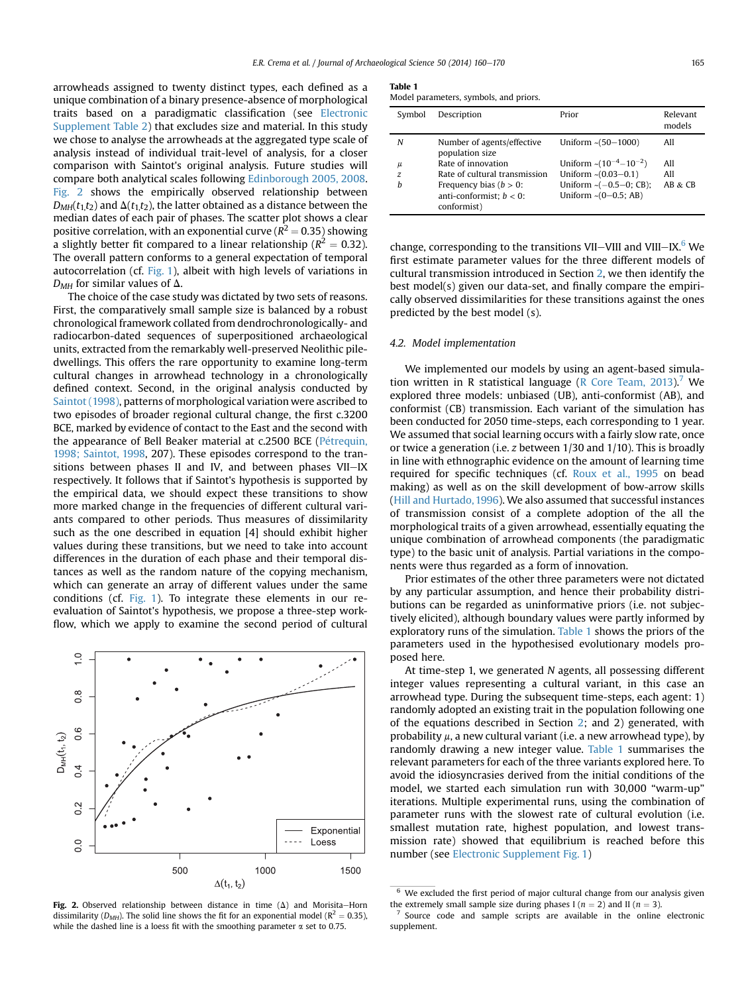arrowheads assigned to twenty distinct types, each defined as a unique combination of a binary presence-absence of morphological traits based on a paradigmatic classification (see Electronic Supplement Table 2) that excludes size and material. In this study we chose to analyse the arrowheads at the aggregated type scale of analysis instead of individual trait-level of analysis, for a closer comparison with Saintot's original analysis. Future studies will compare both analytical scales following [Edinborough 2005, 2008.](#page-10-0) Fig. 2 shows the empirically observed relationship between  $D_{MH}(t_1,t_2)$  and  $\Delta(t_1,t_2)$ , the latter obtained as a distance between the median dates of each pair of phases. The scatter plot shows a clear positive correlation, with an exponential curve ( $R^2 = 0.35$ ) showing a slightly better fit compared to a linear relationship ( $R^2 = 0.32$ ). The overall pattern conforms to a general expectation of temporal autocorrelation (cf. [Fig. 1](#page-4-0)), albeit with high levels of variations in  $D_{MH}$  for similar values of  $\Delta$ .

The choice of the case study was dictated by two sets of reasons. First, the comparatively small sample size is balanced by a robust chronological framework collated from dendrochronologically- and radiocarbon-dated sequences of superpositioned archaeological units, extracted from the remarkably well-preserved Neolithic piledwellings. This offers the rare opportunity to examine long-term cultural changes in arrowhead technology in a chronologically defined context. Second, in the original analysis conducted by [Saintot \(1998\)](#page-10-0), patterns of morphological variation were ascribed to two episodes of broader regional cultural change, the first c.3200 BCE, marked by evidence of contact to the East and the second with the appearance of Bell Beaker material at c.2500 BCE (Pétrequin, [1998; Saintot, 1998,](#page-10-0) 207). These episodes correspond to the transitions between phases II and IV, and between phases VII-IX respectively. It follows that if Saintot's hypothesis is supported by the empirical data, we should expect these transitions to show more marked change in the frequencies of different cultural variants compared to other periods. Thus measures of dissimilarity such as the one described in equation [4] should exhibit higher values during these transitions, but we need to take into account differences in the duration of each phase and their temporal distances as well as the random nature of the copying mechanism, which can generate an array of different values under the same conditions (cf. [Fig. 1](#page-4-0)). To integrate these elements in our reevaluation of Saintot's hypothesis, we propose a three-step workflow, which we apply to examine the second period of cultural



Fig. 2. Observed relationship between distance in time  $(\Delta)$  and Morisita–Horn dissimilarity ( $D_{MH}$ ). The solid line shows the fit for an exponential model ( $R^2 = 0.35$ ), while the dashed line is a loess fit with the smoothing parameter  $\alpha$  set to 0.75.

#### Table 1

|  | Model parameters, symbols, and priors. |  |  |  |
|--|----------------------------------------|--|--|--|
|--|----------------------------------------|--|--|--|

| Symbol | Description                                                             | Prior                                                      | Relevant<br>models |
|--------|-------------------------------------------------------------------------|------------------------------------------------------------|--------------------|
| N      | Number of agents/effective<br>population size                           | Uniform $\sim(50-1000)$                                    | All                |
| μ      | Rate of innovation                                                      | Uniform $\sim (10^{-4} - 10^{-2})$                         | All                |
| Z      | Rate of cultural transmission                                           | Uniform $\sim (0.03 - 0.1)$                                | All                |
|        | Frequency bias ( $b > 0$ :<br>anti-conformist: $b < 0$ :<br>conformist) | Uniform $\sim(-0.5-0; CB)$ ;<br>Uniform $\sim$ (0–0.5; AB) | AB & CD            |

change, corresponding to the transitions VII-VIII and VIII-IX. $<sup>6</sup>$  We</sup> first estimate parameter values for the three different models of cultural transmission introduced in Section [2](#page-2-0), we then identify the best model(s) given our data-set, and finally compare the empirically observed dissimilarities for these transitions against the ones predicted by the best model (s).

# 4.2. Model implementation

We implemented our models by using an agent-based simula-tion written in R statistical language [\(R Core Team, 2013\)](#page-10-0).<sup>7</sup> We explored three models: unbiased (UB), anti-conformist (AB), and conformist (CB) transmission. Each variant of the simulation has been conducted for 2050 time-steps, each corresponding to 1 year. We assumed that social learning occurs with a fairly slow rate, once or twice a generation (i.e. z between 1/30 and 1/10). This is broadly in line with ethnographic evidence on the amount of learning time required for specific techniques (cf. [Roux et al., 1995](#page-10-0) on bead making) as well as on the skill development of bow-arrow skills ([Hill and Hurtado, 1996](#page-10-0)). We also assumed that successful instances of transmission consist of a complete adoption of the all the morphological traits of a given arrowhead, essentially equating the unique combination of arrowhead components (the paradigmatic type) to the basic unit of analysis. Partial variations in the components were thus regarded as a form of innovation.

Prior estimates of the other three parameters were not dictated by any particular assumption, and hence their probability distributions can be regarded as uninformative priors (i.e. not subjectively elicited), although boundary values were partly informed by exploratory runs of the simulation. Table 1 shows the priors of the parameters used in the hypothesised evolutionary models proposed here.

At time-step 1, we generated N agents, all possessing different integer values representing a cultural variant, in this case an arrowhead type. During the subsequent time-steps, each agent: 1) randomly adopted an existing trait in the population following one of the equations described in Section [2](#page-2-0); and 2) generated, with probability  $\mu$ , a new cultural variant (i.e. a new arrowhead type), by randomly drawing a new integer value. Table 1 summarises the relevant parameters for each of the three variants explored here. To avoid the idiosyncrasies derived from the initial conditions of the model, we started each simulation run with 30,000 "warm-up" iterations. Multiple experimental runs, using the combination of parameter runs with the slowest rate of cultural evolution (i.e. smallest mutation rate, highest population, and lowest transmission rate) showed that equilibrium is reached before this number (see Electronic Supplement Fig. 1)

 $6$  We excluded the first period of major cultural change from our analysis given

the extremely small sample size during phases I ( $n = 2$ ) and II ( $n = 3$ ).<br><sup>7</sup> Source code and sample scripts are available in the online electronic supplement.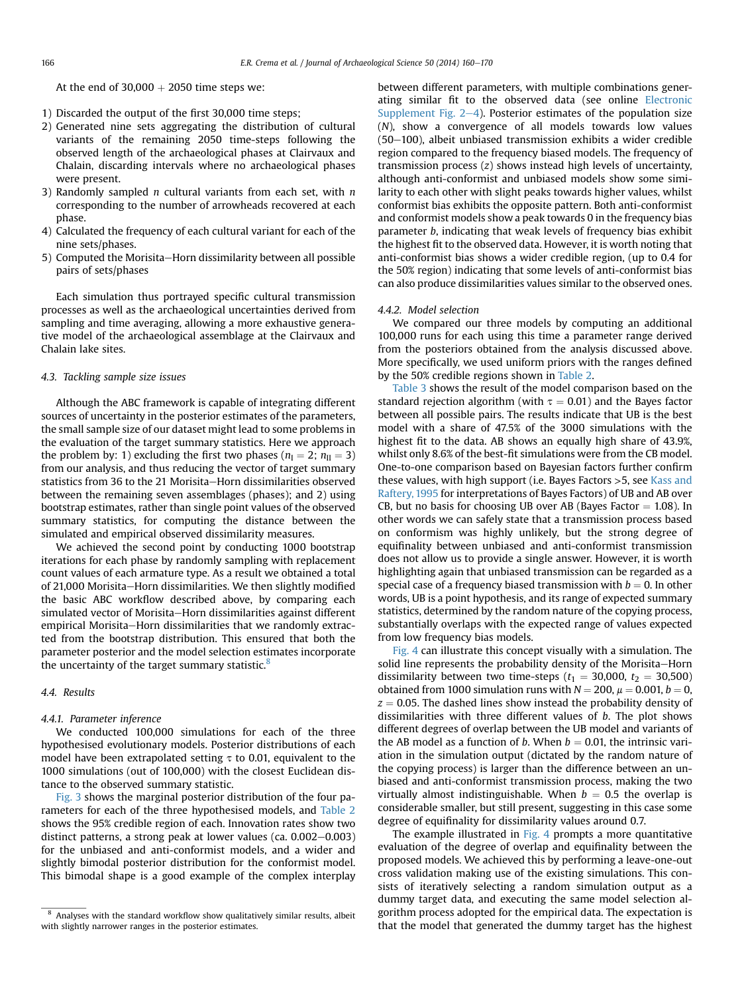At the end of  $30,000 + 2050$  time steps we:

- 1) Discarded the output of the first 30,000 time steps;
- 2) Generated nine sets aggregating the distribution of cultural variants of the remaining 2050 time-steps following the observed length of the archaeological phases at Clairvaux and Chalain, discarding intervals where no archaeological phases were present.
- 3) Randomly sampled  $n$  cultural variants from each set, with  $n$ corresponding to the number of arrowheads recovered at each phase.
- 4) Calculated the frequency of each cultural variant for each of the nine sets/phases.
- 5) Computed the Morisita-Horn dissimilarity between all possible pairs of sets/phases

Each simulation thus portrayed specific cultural transmission processes as well as the archaeological uncertainties derived from sampling and time averaging, allowing a more exhaustive generative model of the archaeological assemblage at the Clairvaux and Chalain lake sites.

### 4.3. Tackling sample size issues

Although the ABC framework is capable of integrating different sources of uncertainty in the posterior estimates of the parameters, the small sample size of our dataset might lead to some problems in the evaluation of the target summary statistics. Here we approach the problem by: 1) excluding the first two phases ( $n_I = 2$ ;  $n_{II} = 3$ ) from our analysis, and thus reducing the vector of target summary statistics from 36 to the 21 Morisita–Horn dissimilarities observed between the remaining seven assemblages (phases); and 2) using bootstrap estimates, rather than single point values of the observed summary statistics, for computing the distance between the simulated and empirical observed dissimilarity measures.

We achieved the second point by conducting 1000 bootstrap iterations for each phase by randomly sampling with replacement count values of each armature type. As a result we obtained a total of 21,000 Morisita–Horn dissimilarities. We then slightly modified the basic ABC workflow described above, by comparing each simulated vector of Morisita-Horn dissimilarities against different empirical Morisita-Horn dissimilarities that we randomly extracted from the bootstrap distribution. This ensured that both the parameter posterior and the model selection estimates incorporate the uncertainty of the target summary statistic.<sup>8</sup>

# 4.4. Results

#### 4.4.1. Parameter inference

We conducted 100,000 simulations for each of the three hypothesised evolutionary models. Posterior distributions of each model have been extrapolated setting  $\tau$  to 0.01, equivalent to the 1000 simulations (out of 100,000) with the closest Euclidean distance to the observed summary statistic.

[Fig. 3](#page-7-0) shows the marginal posterior distribution of the four parameters for each of the three hypothesised models, and [Table 2](#page-7-0) shows the 95% credible region of each. Innovation rates show two distinct patterns, a strong peak at lower values (ca.  $0.002-0.003$ ) for the unbiased and anti-conformist models, and a wider and slightly bimodal posterior distribution for the conformist model. This bimodal shape is a good example of the complex interplay between different parameters, with multiple combinations generating similar fit to the observed data (see online Electronic Supplement Fig.  $2-4$ ). Posterior estimates of the population size (N), show a convergence of all models towards low values  $(50-100)$ , albeit unbiased transmission exhibits a wider credible region compared to the frequency biased models. The frequency of transmission process (z) shows instead high levels of uncertainty, although anti-conformist and unbiased models show some similarity to each other with slight peaks towards higher values, whilst conformist bias exhibits the opposite pattern. Both anti-conformist and conformist models show a peak towards 0 in the frequency bias parameter b, indicating that weak levels of frequency bias exhibit the highest fit to the observed data. However, it is worth noting that anti-conformist bias shows a wider credible region, (up to 0.4 for the 50% region) indicating that some levels of anti-conformist bias can also produce dissimilarities values similar to the observed ones.

#### 4.4.2. Model selection

We compared our three models by computing an additional 100,000 runs for each using this time a parameter range derived from the posteriors obtained from the analysis discussed above. More specifically, we used uniform priors with the ranges defined by the 50% credible regions shown in [Table 2.](#page-7-0)

[Table 3](#page-7-0) shows the result of the model comparison based on the standard rejection algorithm (with  $\tau = 0.01$ ) and the Bayes factor between all possible pairs. The results indicate that UB is the best model with a share of 47.5% of the 3000 simulations with the highest fit to the data. AB shows an equally high share of 43.9%, whilst only 8.6% of the best-fit simulations were from the CB model. One-to-one comparison based on Bayesian factors further confirm these values, with high support (i.e. Bayes Factors >5, see [Kass and](#page-10-0) [Raftery, 1995](#page-10-0) for interpretations of Bayes Factors) of UB and AB over CB, but no basis for choosing UB over AB (Bayes Factor  $= 1.08$ ). In other words we can safely state that a transmission process based on conformism was highly unlikely, but the strong degree of equifinality between unbiased and anti-conformist transmission does not allow us to provide a single answer. However, it is worth highlighting again that unbiased transmission can be regarded as a special case of a frequency biased transmission with  $b = 0$ . In other words, UB is a point hypothesis, and its range of expected summary statistics, determined by the random nature of the copying process, substantially overlaps with the expected range of values expected from low frequency bias models.

[Fig. 4](#page-7-0) can illustrate this concept visually with a simulation. The solid line represents the probability density of the Morisita-Horn dissimilarity between two time-steps ( $t_1$  = 30,000,  $t_2$  = 30,500) obtained from 1000 simulation runs with  $N = 200$ ,  $\mu = 0.001$ ,  $b = 0$ ,  $z = 0.05$ . The dashed lines show instead the probability density of dissimilarities with three different values of b. The plot shows different degrees of overlap between the UB model and variants of the AB model as a function of b. When  $b = 0.01$ , the intrinsic variation in the simulation output (dictated by the random nature of the copying process) is larger than the difference between an unbiased and anti-conformist transmission process, making the two virtually almost indistinguishable. When  $b = 0.5$  the overlap is considerable smaller, but still present, suggesting in this case some degree of equifinality for dissimilarity values around 0.7.

The example illustrated in [Fig. 4](#page-7-0) prompts a more quantitative evaluation of the degree of overlap and equifinality between the proposed models. We achieved this by performing a leave-one-out cross validation making use of the existing simulations. This consists of iteratively selecting a random simulation output as a dummy target data, and executing the same model selection algorithm process adopted for the empirical data. The expectation is that the model that generated the dummy target has the highest

 $8$  Analyses with the standard workflow show qualitatively similar results, albeit with slightly narrower ranges in the posterior estimates.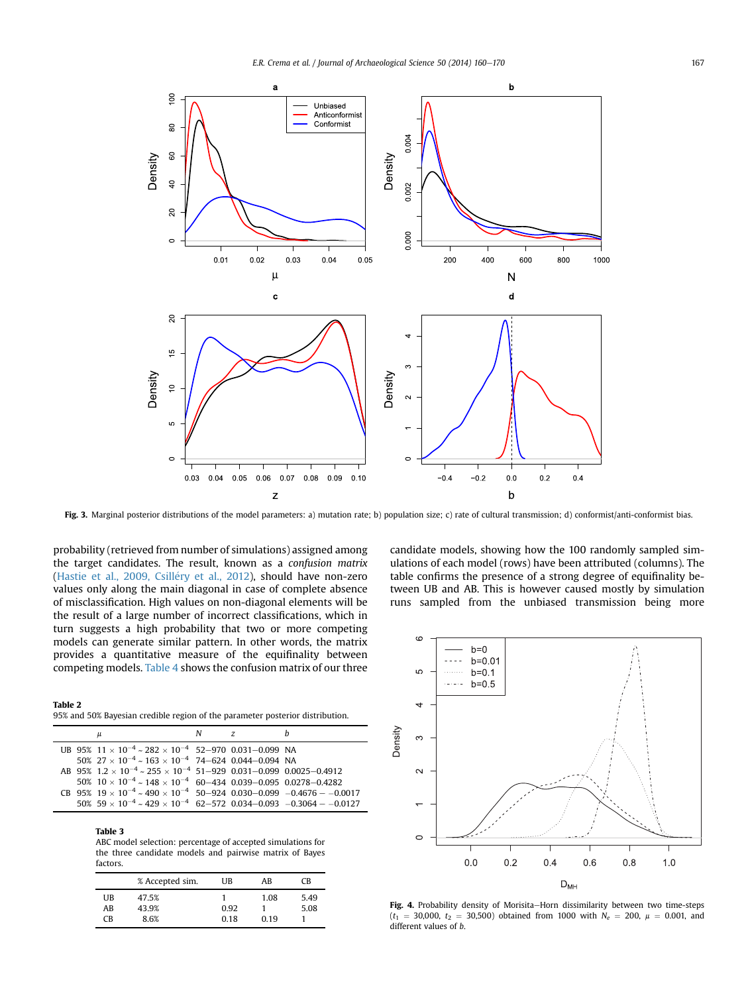<span id="page-7-0"></span>

Fig. 3. Marginal posterior distributions of the model parameters: a) mutation rate; b) population size; c) rate of cultural transmission; d) conformist/anti-conformist bias.

probability (retrieved from number of simulations) assigned among the target candidates. The result, known as a confusion matrix (Hastie et al., 2009, Csilléry et al., 2012), should have non-zero values only along the main diagonal in case of complete absence of misclassification. High values on non-diagonal elements will be the result of a large number of incorrect classifications, which in turn suggests a high probability that two or more competing models can generate similar pattern. In other words, the matrix provides a quantitative measure of the equifinality between competing models. [Table 4](#page-8-0) shows the confusion matrix of our three

Table 2 95% and 50% Bayesian credible region of the parameter posterior distribution.

| и                                                                                                                | $N \qquad z$ | h |
|------------------------------------------------------------------------------------------------------------------|--------------|---|
| UR 95% $11 \times 10^{-4} \approx 282 \times 10^{-4}$ 52-970 0.031-0.099 NA                                      |              |   |
| $50\%$ 27 $\times$ 10 <sup>-4</sup> $\sim$ 163 $\times$ 10 <sup>-4</sup> 74-624 0.044-0.094 NA                   |              |   |
| AB 95% $12 \times 10^{-4} \approx 255 \times 10^{-4}$ 51-929 0.031-0.099 0.0025-0.4912                           |              |   |
| $50\%$ $10 \times 10^{-4} \approx 148 \times 10^{-4}$ 60-434 0.039-0.095 0.0278-0.4282                           |              |   |
| CB 95% $19 \times 10^{-4} \approx 490 \times 10^{-4}$ 50-924 0.030-0.099 -0.4676 - -0.0017                       |              |   |
| $50\%$ 59 $\times$ 10 <sup>-4</sup> $\approx$ 429 $\times$ 10 <sup>-4</sup> 62-572 0.034-0.093 -0.3064 - -0.0127 |              |   |

# Table 3

ABC model selection: percentage of accepted simulations for the three candidate models and pairwise matrix of Bayes factors.

|    | % Accepted sim. | UB   | AB   | CB   |
|----|-----------------|------|------|------|
| UB | 47.5%           |      | 1.08 | 5.49 |
| AB | 43.9%           | 0.92 |      | 5.08 |
| CΒ | 8.6%            | 0.18 | 0.19 |      |

candidate models, showing how the 100 randomly sampled simulations of each model (rows) have been attributed (columns). The table confirms the presence of a strong degree of equifinality between UB and AB. This is however caused mostly by simulation runs sampled from the unbiased transmission being more



Fig. 4. Probability density of Morisita–Horn dissimilarity between two time-steps  $(t_1 = 30,000, t_2 = 30,500)$  obtained from 1000 with  $N_e = 200, \mu = 0.001$ , and different values of b.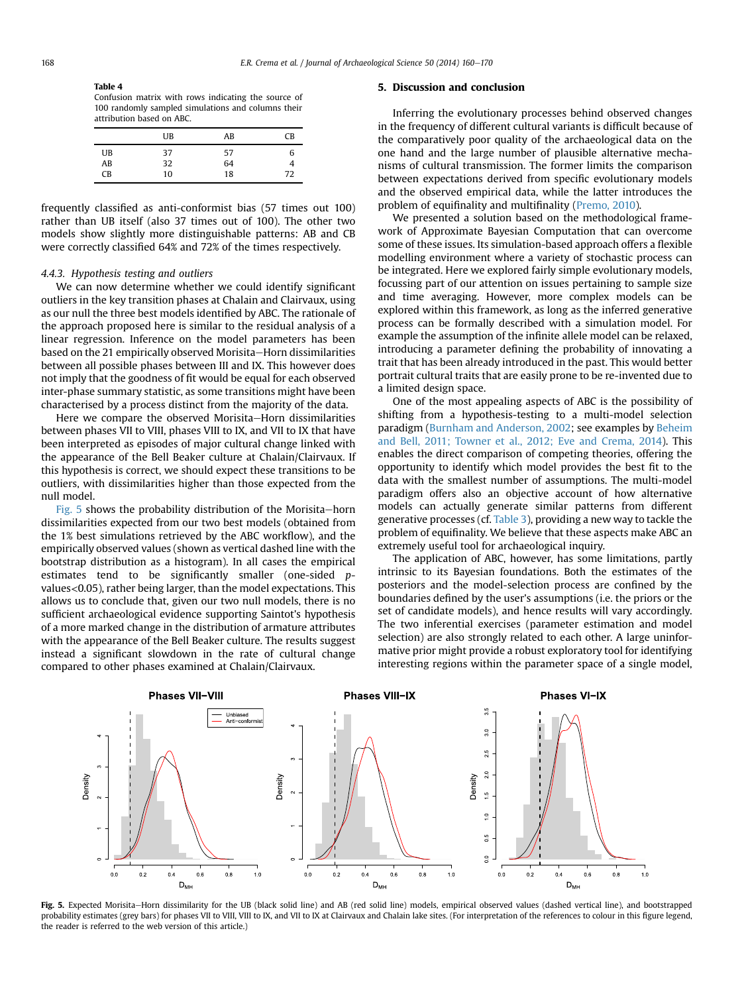Confusion matrix with rows indicating the source of 100 randomly sampled simulations and columns their attribution based on ABC.

|           | UB | AB | <b>CB</b> |
|-----------|----|----|-----------|
| UB        | 37 | 57 | 6         |
| AB        | 32 | 64 | 4         |
| <b>CB</b> | 10 | 18 | 72        |

frequently classified as anti-conformist bias (57 times out 100) rather than UB itself (also 37 times out of 100). The other two models show slightly more distinguishable patterns: AB and CB were correctly classified 64% and 72% of the times respectively.

# 4.4.3. Hypothesis testing and outliers

We can now determine whether we could identify significant outliers in the key transition phases at Chalain and Clairvaux, using as our null the three best models identified by ABC. The rationale of the approach proposed here is similar to the residual analysis of a linear regression. Inference on the model parameters has been based on the 21 empirically observed Morisita-Horn dissimilarities between all possible phases between III and IX. This however does not imply that the goodness of fit would be equal for each observed inter-phase summary statistic, as some transitions might have been characterised by a process distinct from the majority of the data.

Here we compare the observed Morisita-Horn dissimilarities between phases VII to VIII, phases VIII to IX, and VII to IX that have been interpreted as episodes of major cultural change linked with the appearance of the Bell Beaker culture at Chalain/Clairvaux. If this hypothesis is correct, we should expect these transitions to be outliers, with dissimilarities higher than those expected from the null model.

Fig.  $5$  shows the probability distribution of the Morisita-horn dissimilarities expected from our two best models (obtained from the 1% best simulations retrieved by the ABC workflow), and the empirically observed values (shown as vertical dashed line with the bootstrap distribution as a histogram). In all cases the empirical estimates tend to be significantly smaller (one-sided pvalues<0.05), rather being larger, than the model expectations. This allows us to conclude that, given our two null models, there is no sufficient archaeological evidence supporting Saintot's hypothesis of a more marked change in the distribution of armature attributes with the appearance of the Bell Beaker culture. The results suggest instead a significant slowdown in the rate of cultural change compared to other phases examined at Chalain/Clairvaux.

### 5. Discussion and conclusion

Inferring the evolutionary processes behind observed changes in the frequency of different cultural variants is difficult because of the comparatively poor quality of the archaeological data on the one hand and the large number of plausible alternative mechanisms of cultural transmission. The former limits the comparison between expectations derived from specific evolutionary models and the observed empirical data, while the latter introduces the problem of equifinality and multifinality [\(Premo, 2010](#page-10-0)).

We presented a solution based on the methodological framework of Approximate Bayesian Computation that can overcome some of these issues. Its simulation-based approach offers a flexible modelling environment where a variety of stochastic process can be integrated. Here we explored fairly simple evolutionary models, focussing part of our attention on issues pertaining to sample size and time averaging. However, more complex models can be explored within this framework, as long as the inferred generative process can be formally described with a simulation model. For example the assumption of the infinite allele model can be relaxed, introducing a parameter defining the probability of innovating a trait that has been already introduced in the past. This would better portrait cultural traits that are easily prone to be re-invented due to a limited design space.

One of the most appealing aspects of ABC is the possibility of shifting from a hypothesis-testing to a multi-model selection paradigm [\(Burnham and Anderson, 2002;](#page-9-0) see examples by [Beheim](#page-9-0) [and Bell, 2011; Towner et al., 2012; Eve and Crema, 2014\)](#page-9-0). This enables the direct comparison of competing theories, offering the opportunity to identify which model provides the best fit to the data with the smallest number of assumptions. The multi-model paradigm offers also an objective account of how alternative models can actually generate similar patterns from different generative processes (cf. [Table 3\)](#page-7-0), providing a new way to tackle the problem of equifinality. We believe that these aspects make ABC an extremely useful tool for archaeological inquiry.

The application of ABC, however, has some limitations, partly intrinsic to its Bayesian foundations. Both the estimates of the posteriors and the model-selection process are confined by the boundaries defined by the user's assumptions (i.e. the priors or the set of candidate models), and hence results will vary accordingly. The two inferential exercises (parameter estimation and model selection) are also strongly related to each other. A large uninformative prior might provide a robust exploratory tool for identifying interesting regions within the parameter space of a single model,



Fig. 5. Expected Morisita–Horn dissimilarity for the UB (black solid line) and AB (red solid line) models, empirical observed values (dashed vertical line), and bootstrapped probability estimates (grey bars) for phases VII to VIII, VIII to IX, and VII to IX at Clairvaux and Chalain lake sites. (For interpretation of the references to colour in this figure legend, the reader is referred to the web version of this article.)

<span id="page-8-0"></span>Table 4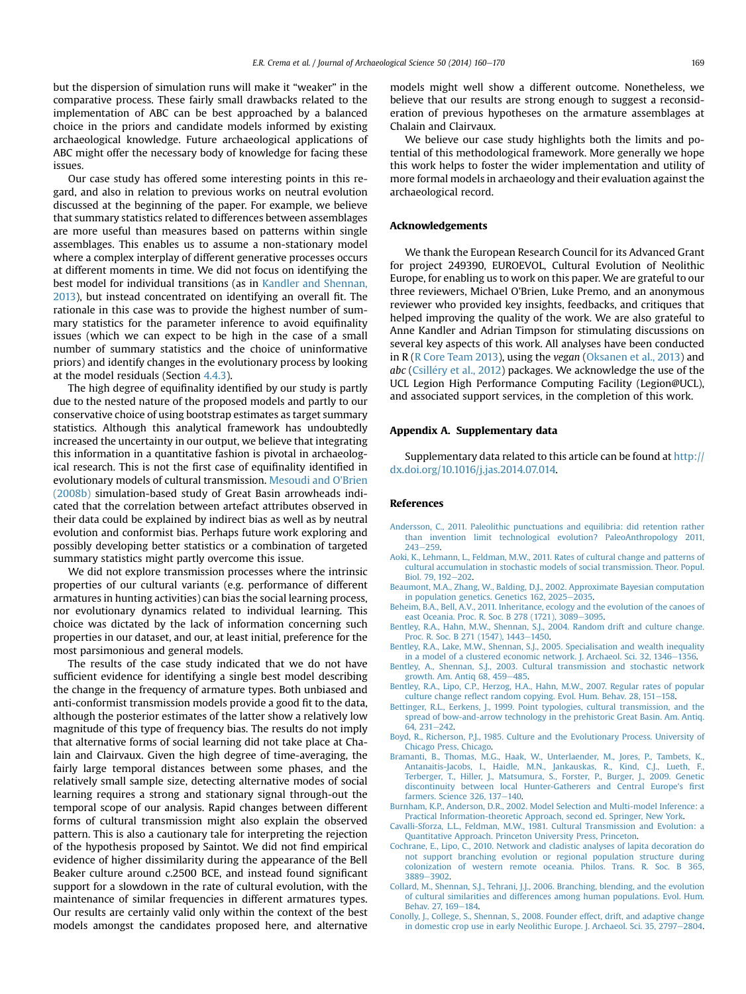<span id="page-9-0"></span>but the dispersion of simulation runs will make it "weaker" in the comparative process. These fairly small drawbacks related to the implementation of ABC can be best approached by a balanced choice in the priors and candidate models informed by existing archaeological knowledge. Future archaeological applications of ABC might offer the necessary body of knowledge for facing these issues.

Our case study has offered some interesting points in this regard, and also in relation to previous works on neutral evolution discussed at the beginning of the paper. For example, we believe that summary statistics related to differences between assemblages are more useful than measures based on patterns within single assemblages. This enables us to assume a non-stationary model where a complex interplay of different generative processes occurs at different moments in time. We did not focus on identifying the best model for individual transitions (as in [Kandler and Shennan,](#page-10-0) [2013\)](#page-10-0), but instead concentrated on identifying an overall fit. The rationale in this case was to provide the highest number of summary statistics for the parameter inference to avoid equifinality issues (which we can expect to be high in the case of a small number of summary statistics and the choice of uninformative priors) and identify changes in the evolutionary process by looking at the model residuals (Section [4.4.3\)](#page-8-0).

The high degree of equifinality identified by our study is partly due to the nested nature of the proposed models and partly to our conservative choice of using bootstrap estimates as target summary statistics. Although this analytical framework has undoubtedly increased the uncertainty in our output, we believe that integrating this information in a quantitative fashion is pivotal in archaeological research. This is not the first case of equifinality identified in evolutionary models of cultural transmission. [Mesoudi and O'Brien](#page-10-0) [\(2008b\)](#page-10-0) simulation-based study of Great Basin arrowheads indicated that the correlation between artefact attributes observed in their data could be explained by indirect bias as well as by neutral evolution and conformist bias. Perhaps future work exploring and possibly developing better statistics or a combination of targeted summary statistics might partly overcome this issue.

We did not explore transmission processes where the intrinsic properties of our cultural variants (e.g. performance of different armatures in hunting activities) can bias the social learning process, nor evolutionary dynamics related to individual learning. This choice was dictated by the lack of information concerning such properties in our dataset, and our, at least initial, preference for the most parsimonious and general models.

The results of the case study indicated that we do not have sufficient evidence for identifying a single best model describing the change in the frequency of armature types. Both unbiased and anti-conformist transmission models provide a good fit to the data, although the posterior estimates of the latter show a relatively low magnitude of this type of frequency bias. The results do not imply that alternative forms of social learning did not take place at Chalain and Clairvaux. Given the high degree of time-averaging, the fairly large temporal distances between some phases, and the relatively small sample size, detecting alternative modes of social learning requires a strong and stationary signal through-out the temporal scope of our analysis. Rapid changes between different forms of cultural transmission might also explain the observed pattern. This is also a cautionary tale for interpreting the rejection of the hypothesis proposed by Saintot. We did not find empirical evidence of higher dissimilarity during the appearance of the Bell Beaker culture around c.2500 BCE, and instead found significant support for a slowdown in the rate of cultural evolution, with the maintenance of similar frequencies in different armatures types. Our results are certainly valid only within the context of the best models amongst the candidates proposed here, and alternative models might well show a different outcome. Nonetheless, we believe that our results are strong enough to suggest a reconsideration of previous hypotheses on the armature assemblages at Chalain and Clairvaux.

We believe our case study highlights both the limits and potential of this methodological framework. More generally we hope this work helps to foster the wider implementation and utility of more formal models in archaeology and their evaluation against the archaeological record.

# Acknowledgements

We thank the European Research Council for its Advanced Grant for project 249390, EUROEVOL, Cultural Evolution of Neolithic Europe, for enabling us to work on this paper. We are grateful to our three reviewers, Michael O'Brien, Luke Premo, and an anonymous reviewer who provided key insights, feedbacks, and critiques that helped improving the quality of the work. We are also grateful to Anne Kandler and Adrian Timpson for stimulating discussions on several key aspects of this work. All analyses have been conducted in R [\(R Core Team 2013\)](#page-10-0), using the vegan [\(Oksanen et al., 2013](#page-10-0)) and abc [\(Csill](#page-10-0)é[ry et al., 2012](#page-10-0)) packages. We acknowledge the use of the UCL Legion High Performance Computing Facility (Legion@UCL), and associated support services, in the completion of this work.

# Appendix A. Supplementary data

Supplementary data related to this article can be found at [http://](http://dx.doi.org/10.1016/j.jas.2014.07.014) [dx.doi.org/10.1016/j.jas.2014.07.014.](http://dx.doi.org/10.1016/j.jas.2014.07.014)

#### References

- [Andersson, C., 2011. Paleolithic punctuations and equilibria: did retention rather](http://refhub.elsevier.com/S0305-4403(14)00259-3/sref79) [than invention limit technological evolution? PaleoAnthropology 2011,](http://refhub.elsevier.com/S0305-4403(14)00259-3/sref79)  $243 - 259$  $243 - 259$  $243 - 259$
- [Aoki, K., Lehmann, L., Feldman, M.W., 2011. Rates of cultural change and patterns of](http://refhub.elsevier.com/S0305-4403(14)00259-3/sref1) [cultural accumulation in stochastic models of social transmission. Theor. Popul.](http://refhub.elsevier.com/S0305-4403(14)00259-3/sref1) [Biol. 79, 192](http://refhub.elsevier.com/S0305-4403(14)00259-3/sref1)-[202.](http://refhub.elsevier.com/S0305-4403(14)00259-3/sref1)
- [Beaumont, M.A., Zhang, W., Balding, D.J., 2002. Approximate Bayesian computation](http://refhub.elsevier.com/S0305-4403(14)00259-3/sref80) in population genetics. Genetics  $162$ ,  $2025-2035$  $2025-2035$ .
- [Beheim, B.A., Bell, A.V., 2011. Inheritance, ecology and the evolution of the canoes of](http://refhub.elsevier.com/S0305-4403(14)00259-3/sref2) [east Oceania. Proc. R. Soc. B 278 \(1721\), 3089](http://refhub.elsevier.com/S0305-4403(14)00259-3/sref2)-[3095.](http://refhub.elsevier.com/S0305-4403(14)00259-3/sref2)
- [Bentley, R.A., Hahn, M.W., Shennan, S.J., 2004. Random drift and culture change.](http://refhub.elsevier.com/S0305-4403(14)00259-3/sref3) [Proc. R. Soc. B 271 \(1547\), 1443](http://refhub.elsevier.com/S0305-4403(14)00259-3/sref3)-[1450.](http://refhub.elsevier.com/S0305-4403(14)00259-3/sref3)
- [Bentley, R.A., Lake, M.W., Shennan, S.J., 2005. Specialisation and wealth inequality](http://refhub.elsevier.com/S0305-4403(14)00259-3/sref4) [in a model of a clustered economic network. J. Archaeol. Sci. 32, 1346](http://refhub.elsevier.com/S0305-4403(14)00259-3/sref4)–[1356](http://refhub.elsevier.com/S0305-4403(14)00259-3/sref4).
- [Bentley, A., Shennan, S.J., 2003. Cultural transmission and stochastic network](http://refhub.elsevier.com/S0305-4403(14)00259-3/sref81) [growth. Am. Antiq 68, 459](http://refhub.elsevier.com/S0305-4403(14)00259-3/sref81)–[485](http://refhub.elsevier.com/S0305-4403(14)00259-3/sref81).
- [Bentley, R.A., Lipo, C.P., Herzog, H.A., Hahn, M.W., 2007. Regular rates of popular](http://refhub.elsevier.com/S0305-4403(14)00259-3/sref5) culture change refl[ect random copying. Evol. Hum. Behav. 28, 151](http://refhub.elsevier.com/S0305-4403(14)00259-3/sref5)-[158](http://refhub.elsevier.com/S0305-4403(14)00259-3/sref5).
- [Bettinger, R.L., Eerkens, J., 1999. Point typologies, cultural transmission, and the](http://refhub.elsevier.com/S0305-4403(14)00259-3/sref6) [spread of bow-and-arrow technology in the prehistoric Great Basin. Am. Antiq.](http://refhub.elsevier.com/S0305-4403(14)00259-3/sref6)  $64.231 - 242.$  $64.231 - 242.$
- [Boyd, R., Richerson, P.J., 1985. Culture and the Evolutionary Process. University of](http://refhub.elsevier.com/S0305-4403(14)00259-3/sref7) [Chicago Press, Chicago](http://refhub.elsevier.com/S0305-4403(14)00259-3/sref7).
- [Bramanti, B., Thomas, M.G., Haak, W., Unterlaender, M., Jores, P., Tambets, K.,](http://refhub.elsevier.com/S0305-4403(14)00259-3/sref8) [Antanaitis-Jacobs, I., Haidle, M.N., Jankauskas, R., Kind, C.J., Lueth, F.,](http://refhub.elsevier.com/S0305-4403(14)00259-3/sref8) [Terberger, T., Hiller, J., Matsumura, S., Forster, P., Burger, J., 2009. Genetic](http://refhub.elsevier.com/S0305-4403(14)00259-3/sref8) [discontinuity between local Hunter-Gatherers and Central Europe's](http://refhub.elsevier.com/S0305-4403(14)00259-3/sref8) first [farmers. Science 326, 137](http://refhub.elsevier.com/S0305-4403(14)00259-3/sref8)-[140](http://refhub.elsevier.com/S0305-4403(14)00259-3/sref8).
- [Burnham, K.P., Anderson, D.R., 2002. Model Selection and Multi-model Inference: a](http://refhub.elsevier.com/S0305-4403(14)00259-3/sref10) [Practical Information-theoretic Approach, second ed. Springer, New York](http://refhub.elsevier.com/S0305-4403(14)00259-3/sref10).
- [Cavalli-Sforza, L.L., Feldman, M.W., 1981. Cultural Transmission and Evolution: a](http://refhub.elsevier.com/S0305-4403(14)00259-3/sref11) [Quantitative Approach. Princeton University Press, Princeton.](http://refhub.elsevier.com/S0305-4403(14)00259-3/sref11)
- [Cochrane, E., Lipo, C., 2010. Network and cladistic analyses of lapita decoration do](http://refhub.elsevier.com/S0305-4403(14)00259-3/sref12) [not support branching evolution or regional population structure during](http://refhub.elsevier.com/S0305-4403(14)00259-3/sref12) [colonization of western remote oceania. Philos. Trans. R. Soc. B 365,](http://refhub.elsevier.com/S0305-4403(14)00259-3/sref12) [3889](http://refhub.elsevier.com/S0305-4403(14)00259-3/sref12)-[3902.](http://refhub.elsevier.com/S0305-4403(14)00259-3/sref12)
- [Collard, M., Shennan, S.J., Tehrani, J.J., 2006. Branching, blending, and the evolution](http://refhub.elsevier.com/S0305-4403(14)00259-3/sref13) [of cultural similarities and differences among human populations. Evol. Hum.](http://refhub.elsevier.com/S0305-4403(14)00259-3/sref13) [Behav. 27, 169](http://refhub.elsevier.com/S0305-4403(14)00259-3/sref13)-[184.](http://refhub.elsevier.com/S0305-4403(14)00259-3/sref13)
- [Conolly, J., College, S., Shennan, S., 2008. Founder effect, drift, and adaptive change](http://refhub.elsevier.com/S0305-4403(14)00259-3/sref14) [in domestic crop use in early Neolithic Europe. J. Archaeol. Sci. 35, 2797](http://refhub.elsevier.com/S0305-4403(14)00259-3/sref14)-[2804](http://refhub.elsevier.com/S0305-4403(14)00259-3/sref14).